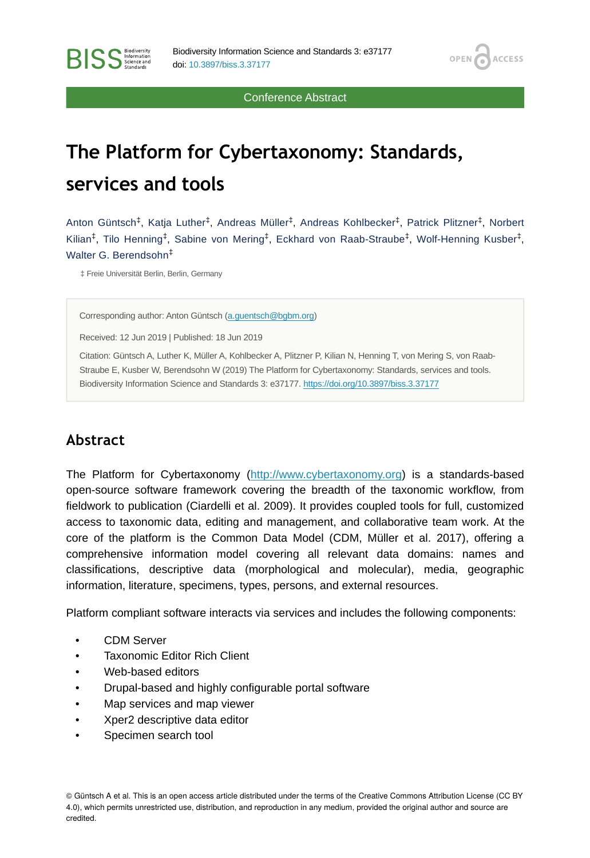Conference Abstract

OPEN G

**ACCESS** 

# **The Platform for Cybertaxonomy: Standards, services and tools**

Anton Güntsch $^\ddag,$  Katja Luther $^\ddag,$  Andreas Müller $^\ddag,$  Andreas Kohlbecker $^\ddag,$  Patrick Plitzner $^\ddag,$  Norbert Kilian<sup>‡</sup>, Tilo Henning<sup>‡</sup>, Sabine von Mering<sup>‡</sup>, Eckhard von Raab-Straube<sup>‡</sup>, Wolf-Henning Kusber<sup>‡</sup>, Walter G. Berendsohn ‡

‡ Freie Universität Berlin, Berlin, Germany

**RISS** Science and

Corresponding author: Anton Güntsch [\(a.guentsch@bgbm.org\)](mailto:a.guentsch@bgbm.org)

Received: 12 Jun 2019 | Published: 18 Jun 2019

Citation: Güntsch A, Luther K, Müller A, Kohlbecker A, Plitzner P, Kilian N, Henning T, von Mering S, von Raab-Straube E, Kusber W, Berendsohn W (2019) The Platform for Cybertaxonomy: Standards, services and tools. Biodiversity Information Science and Standards 3: e37177.<https://doi.org/10.3897/biss.3.37177>

#### **Abstract**

The Platform for Cybertaxonomy [\(http://www.cybertaxonomy.org](http://www.cybertaxonomy.org)) is a standards-based open-source software framework covering the breadth of the taxonomic workflow, from fieldwork to publication (Ciardelli et al. 2009). It provides coupled tools for full, customized access to taxonomic data, editing and management, and collaborative team work. At the core of the platform is the Common Data Model (CDM, Müller et al. 2017), offering a comprehensive information model covering all relevant data domains: names and classifications, descriptive data (morphological and molecular), media, geographic information, literature, specimens, types, persons, and external resources.

Platform compliant software interacts via services and includes the following components:

- CDM Server
- Taxonomic Editor Rich Client
- Web-based editors
- Drupal-based and highly configurable portal software
- Map services and map viewer
- Xper2 descriptive data editor
- Specimen search tool